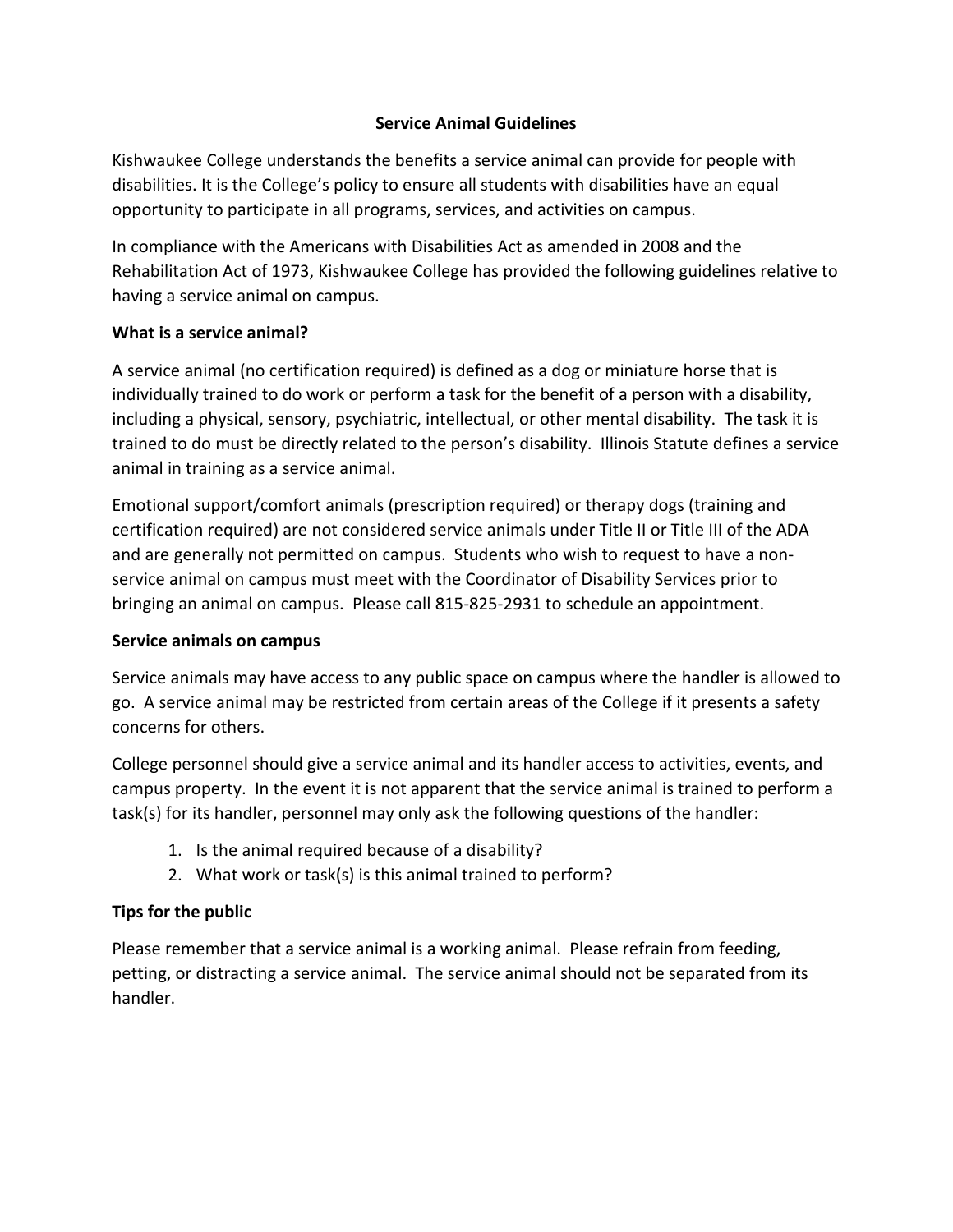## **Service Animal Guidelines**

Kishwaukee College understands the benefits a service animal can provide for people with disabilities. It is the College's policy to ensure all students with disabilities have an equal opportunity to participate in all programs, services, and activities on campus.

In compliance with the Americans with Disabilities Act as amended in 2008 and the Rehabilitation Act of 1973, Kishwaukee College has provided the following guidelines relative to having a service animal on campus.

### **What is a service animal?**

A service animal (no certification required) is defined as a dog or miniature horse that is individually trained to do work or perform a task for the benefit of a person with a disability, including a physical, sensory, psychiatric, intellectual, or other mental disability. The task it is trained to do must be directly related to the person's disability. Illinois Statute defines a service animal in training as a service animal.

Emotional support/comfort animals (prescription required) or therapy dogs (training and certification required) are not considered service animals under Title II or Title III of the ADA and are generally not permitted on campus. Students who wish to request to have a nonservice animal on campus must meet with the Coordinator of Disability Services prior to bringing an animal on campus. Please call 815-825-2931 to schedule an appointment.

# **Service animals on campus**

Service animals may have access to any public space on campus where the handler is allowed to go. A service animal may be restricted from certain areas of the College if it presents a safety concerns for others.

College personnel should give a service animal and its handler access to activities, events, and campus property. In the event it is not apparent that the service animal is trained to perform a task(s) for its handler, personnel may only ask the following questions of the handler:

- 1. Is the animal required because of a disability?
- 2. What work or task(s) is this animal trained to perform?

# **Tips for the public**

Please remember that a service animal is a working animal. Please refrain from feeding, petting, or distracting a service animal. The service animal should not be separated from its handler.